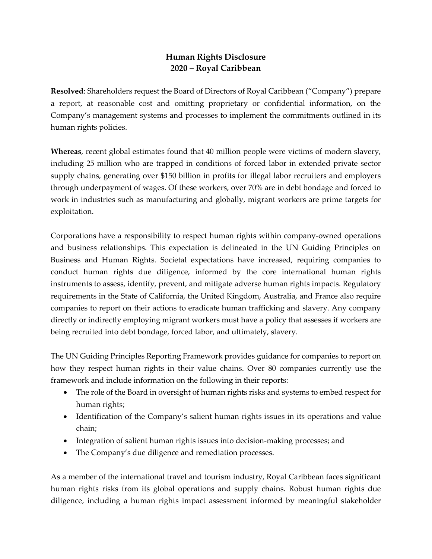## **Human Rights Disclosure 2020 – Royal Caribbean**

**Resolved**: Shareholders request the Board of Directors of Royal Caribbean ("Company") prepare a report, at reasonable cost and omitting proprietary or confidential information, on the Company's management systems and processes to implement the commitments outlined in its human rights policies.

**Whereas**, recent global estimates found that 40 million people were victims of modern slavery, including 25 million who are trapped in conditions of forced labor in extended private sector supply chains, generating over \$150 billion in profits for illegal labor recruiters and employers through underpayment of wages. Of these workers, over 70% are in debt bondage and forced to work in industries such as manufacturing and globally, migrant workers are prime targets for exploitation.

Corporations have a responsibility to respect human rights within company-owned operations and business relationships. This expectation is delineated in the UN Guiding Principles on Business and Human Rights. Societal expectations have increased, requiring companies to conduct human rights due diligence, informed by the core international human rights instruments to assess, identify, prevent, and mitigate adverse human rights impacts. Regulatory requirements in the State of California, the United Kingdom, Australia, and France also require companies to report on their actions to eradicate human trafficking and slavery. Any company directly or indirectly employing migrant workers must have a policy that assesses if workers are being recruited into debt bondage, forced labor, and ultimately, slavery.

The UN Guiding Principles Reporting Framework provides guidance for companies to report on how they respect human rights in their value chains. Over 80 companies currently use the framework and include information on the following in their reports:

- The role of the Board in oversight of human rights risks and systems to embed respect for human rights;
- Identification of the Company's salient human rights issues in its operations and value chain;
- Integration of salient human rights issues into decision-making processes; and
- The Company's due diligence and remediation processes.

As a member of the international travel and tourism industry, Royal Caribbean faces significant human rights risks from its global operations and supply chains. Robust human rights due diligence, including a human rights impact assessment informed by meaningful stakeholder